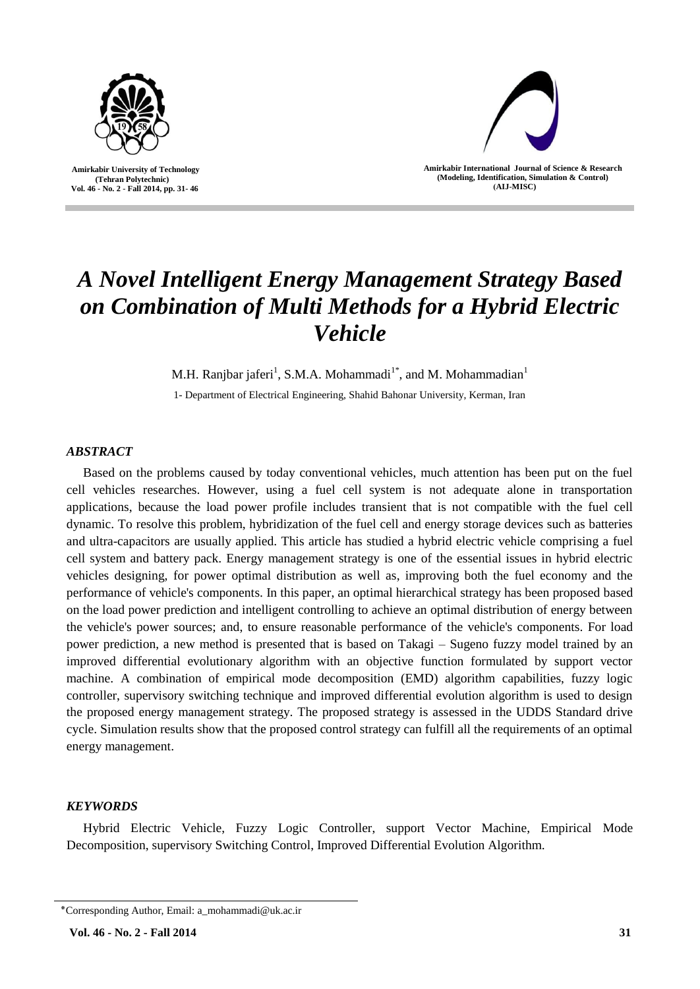

 **Amirkabir University of Technology (Tehran Polytechnic) Vol. 46 - No. 2 - Fall 2014, pp. 31- 46**



**Amirkabir International Journal of Science & Research (Modeling, Identification, Simulation & Control) )AIJ-MISC)**

# *A Novel Intelligent Energy Management Strategy Based on Combination of Multi Methods for a Hybrid Electric Vehicle*

M.H. Ranjbar jaferi<sup>1</sup>, S.M.A. Mohammadi<sup>1\*</sup>, and M. Mohammadian<sup>1</sup>

1- Department of Electrical Engineering, Shahid Bahonar University, Kerman, Iran

# *ABSTRACT*

Based on the problems caused by today conventional vehicles, much attention has been put on the fuel cell vehicles researches. However, using a fuel cell system is not adequate alone in transportation applications, because the load power profile includes transient that is not compatible with the fuel cell dynamic. To resolve this problem, hybridization of the fuel cell and energy storage devices such as batteries and ultra-capacitors are usually applied. This article has studied a hybrid electric vehicle comprising a fuel cell system and battery pack. Energy management strategy is one of the essential issues in hybrid electric vehicles designing, for power optimal distribution as well as, improving both the fuel economy and the performance of vehicle's components. In this paper, an optimal hierarchical strategy has been proposed based on the load power prediction and intelligent controlling to achieve an optimal distribution of energy between the vehicle's power sources; and, to ensure reasonable performance of the vehicle's components. For load power prediction, a new method is presented that is based on Takagi – Sugeno fuzzy model trained by an improved differential evolutionary algorithm with an objective function formulated by support vector machine. A combination of empirical mode decomposition (EMD) algorithm capabilities, fuzzy logic controller, supervisory switching technique and improved differential evolution algorithm is used to design the proposed energy management strategy. The proposed strategy is assessed in the UDDS Standard drive cycle. Simulation results show that the proposed control strategy can fulfill all the requirements of an optimal energy management.

# *KEYWORDS*

Hybrid Electric Vehicle, Fuzzy Logic Controller, support Vector Machine, Empirical Mode Decomposition, supervisory Switching Control, Improved Differential Evolution Algorithm.

<sup>٭</sup>Corresponding Author, Email: a\_mohammadi@uk.ac.ir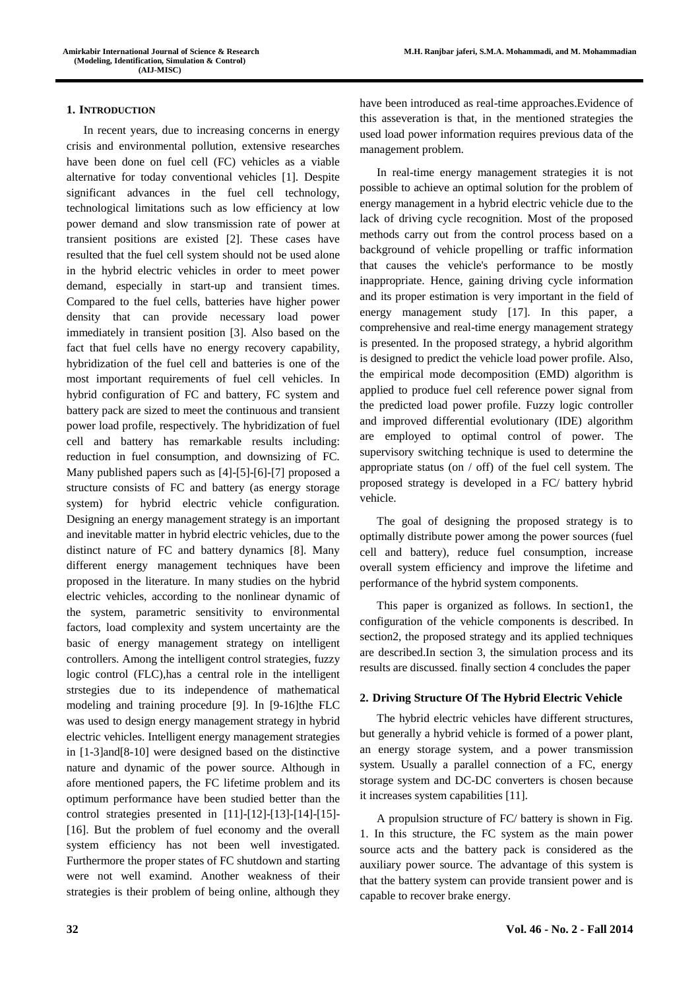# **1. INTRODUCTION**

In recent years, due to increasing concerns in energy crisis and environmental pollution, extensive researches have been done on fuel cell (FC) vehicles as a viable alternative for today conventional vehicles [1]. Despite significant advances in the fuel cell technology, technological limitations such as low efficiency at low power demand and slow transmission rate of power at transient positions are existed [2]. These cases have resulted that the fuel cell system should not be used alone in the hybrid electric vehicles in order to meet power demand, especially in start-up and transient times. Compared to the fuel cells, batteries have higher power density that can provide necessary load power immediately in transient position [3]. Also based on the fact that fuel cells have no energy recovery capability, hybridization of the fuel cell and batteries is one of the most important requirements of fuel cell vehicles. In hybrid configuration of FC and battery, FC system and battery pack are sized to meet the continuous and transient power load profile, respectively. The hybridization of fuel cell and battery has remarkable results including: reduction in fuel consumption, and downsizing of FC. Many published papers such as [4]-[5]-[6]-[7] proposed a structure consists of FC and battery (as energy storage system) for hybrid electric vehicle configuration. Designing an energy management strategy is an important and inevitable matter in hybrid electric vehicles, due to the distinct nature of FC and battery dynamics [8]. Many different energy management techniques have been proposed in the literature. In many studies on the hybrid electric vehicles, according to the nonlinear dynamic of the system, parametric sensitivity to environmental factors, load complexity and system uncertainty are the basic of energy management strategy on intelligent controllers. Among the intelligent control strategies, fuzzy logic control (FLC),has a central role in the intelligent strstegies due to its independence of mathematical modeling and training procedure [9]. In [9-16]the FLC was used to design energy management strategy in hybrid electric vehicles. Intelligent energy management strategies in [1-3]and[8-10] were designed based on the distinctive nature and dynamic of the power source. Although in afore mentioned papers, the FC lifetime problem and its optimum performance have been studied better than the control strategies presented in [11]-[12]-[13]-[14]-[15]- [16]. But the problem of fuel economy and the overall system efficiency has not been well investigated. Furthermore the proper states of FC shutdown and starting were not well examind. Another weakness of their strategies is their problem of being online, although they

have been introduced as real-time approaches.Evidence of this asseveration is that, in the mentioned strategies the used load power information requires previous data of the management problem.

In real-time energy management strategies it is not possible to achieve an optimal solution for the problem of energy management in a hybrid electric vehicle due to the lack of driving cycle recognition. Most of the proposed methods carry out from the control process based on a background of vehicle propelling or traffic information that causes the vehicle's performance to be mostly inappropriate. Hence, gaining driving cycle information and its proper estimation is very important in the field of energy management study [17]. In this paper, a comprehensive and real-time energy management strategy is presented. In the proposed strategy, a hybrid algorithm is designed to predict the vehicle load power profile. Also, the empirical mode decomposition (EMD) algorithm is applied to produce fuel cell reference power signal from the predicted load power profile. Fuzzy logic controller and improved differential evolutionary (IDE) algorithm are employed to optimal control of power. The supervisory switching technique is used to determine the appropriate status (on / off) of the fuel cell system. The proposed strategy is developed in a FC/ battery hybrid vehicle.

The goal of designing the proposed strategy is to optimally distribute power among the power sources (fuel cell and battery), reduce fuel consumption, increase overall system efficiency and improve the lifetime and performance of the hybrid system components.

This paper is organized as follows. In section1, the configuration of the vehicle components is described. In section2, the proposed strategy and its applied techniques are described.In section 3, the simulation process and its results are discussed. finally section 4 concludes the paper

#### **2. Driving Structure Of The Hybrid Electric Vehicle**

The hybrid electric vehicles have different structures, but generally a hybrid vehicle is formed of a power plant, an energy storage system, and a power transmission system. Usually a parallel connection of a FC, energy storage system and DC-DC converters is chosen because it increases system capabilities [11].

A propulsion structure of FC/ battery is shown in Fig. 1. In this structure, the FC system as the main power source acts and the battery pack is considered as the auxiliary power source. The advantage of this system is that the battery system can provide transient power and is capable to recover brake energy.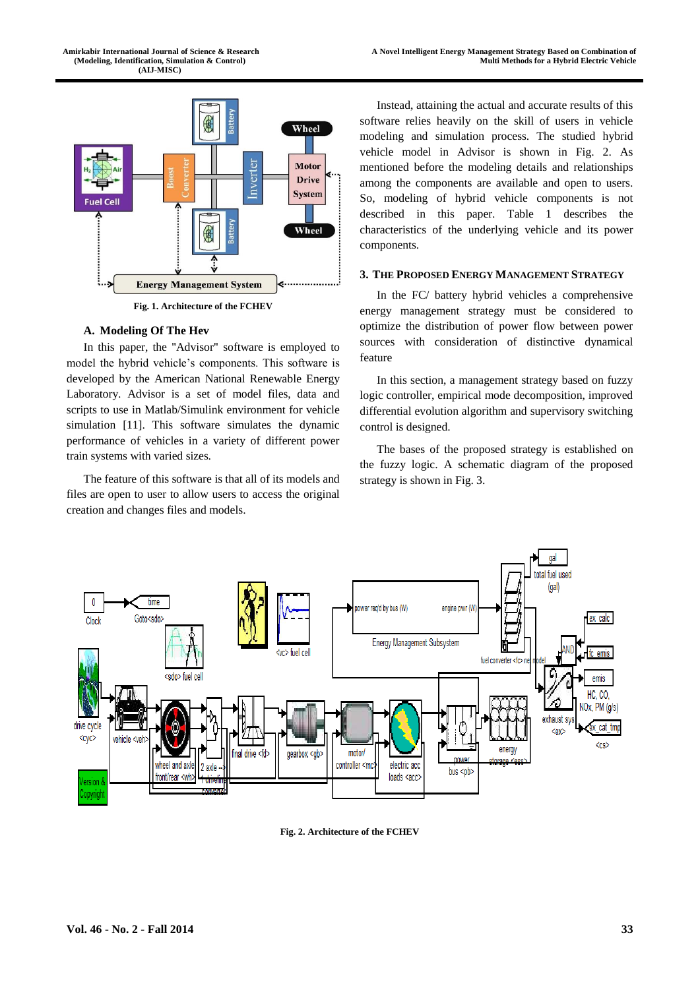

**Fig. 1. Architecture of the FCHEV** 

# **A. Modeling Of The Hev**

In this paper, the "Advisor" software is employed to model the hybrid vehicle's components. This software is developed by the American National Renewable Energy Laboratory. Advisor is a set of model files, data and scripts to use in Matlab/Simulink environment for vehicle simulation [11]. This software simulates the dynamic performance of vehicles in a variety of different power train systems with varied sizes.

The feature of this software is that all of its models and files are open to user to allow users to access the original creation and changes files and models.

Instead, attaining the actual and accurate results of this software relies heavily on the skill of users in vehicle modeling and simulation process. The studied hybrid vehicle model in Advisor is shown in Fig. 2. As mentioned before the modeling details and relationships among the components are available and open to users. So, modeling of hybrid vehicle components is not described in this paper. Table 1 describes the characteristics of the underlying vehicle and its power components.

#### **3. THE PROPOSED ENERGY MANAGEMENT STRATEGY**

In the FC/ battery hybrid vehicles a comprehensive energy management strategy must be considered to optimize the distribution of power flow between power sources with consideration of distinctive dynamical feature

In this section, a management strategy based on fuzzy logic controller, empirical mode decomposition, improved differential evolution algorithm and supervisory switching control is designed.

The bases of the proposed strategy is established on the fuzzy logic. A schematic diagram of the proposed strategy is shown in Fig. 3.



**Fig. 2. Architecture of the FCHEV**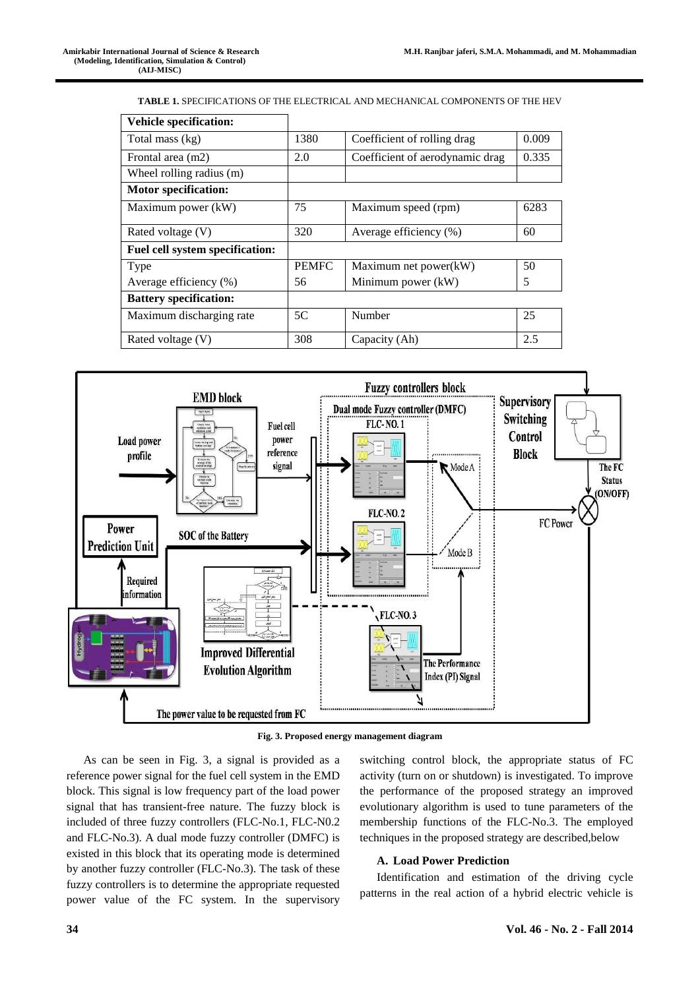**TABLE 1.** SPECIFICATIONS OF THE ELECTRICAL AND MECHANICAL COMPONENTS OF THE HEV

| <b>Vehicle specification:</b>   |              |                                 |       |
|---------------------------------|--------------|---------------------------------|-------|
| Total mass (kg)                 | 1380         | Coefficient of rolling drag     | 0.009 |
| Frontal area (m2)               | 2.0          | Coefficient of aerodynamic drag | 0.335 |
| Wheel rolling radius (m)        |              |                                 |       |
| <b>Motor specification:</b>     |              |                                 |       |
| Maximum power (kW)              | 75           | Maximum speed (rpm)             | 6283  |
| Rated voltage (V)               | 320          | Average efficiency (%)          | 60    |
| Fuel cell system specification: |              |                                 |       |
| Type                            | <b>PEMFC</b> | Maximum net power(kW)           | 50    |
| Average efficiency (%)          | 56           | Minimum power (kW)              | 5     |
| <b>Battery specification:</b>   |              |                                 |       |
| Maximum discharging rate        | 5C           | Number                          | 25    |
| Rated voltage $(V)$             | 308          | Capacity (Ah)                   | 2.5   |



**Fig. 3. Proposed energy management diagram**

As can be seen in Fig. 3, a signal is provided as a reference power signal for the fuel cell system in the EMD block. This signal is low frequency part of the load power signal that has transient-free nature. The fuzzy block is included of three fuzzy controllers (FLC-No.1, FLC-N0.2 and FLC-No.3). A dual mode fuzzy controller (DMFC) is existed in this block that its operating mode is determined by another fuzzy controller (FLC-No.3). The task of these fuzzy controllers is to determine the appropriate requested power value of the FC system. In the supervisory switching control block, the appropriate status of FC activity (turn on or shutdown) is investigated. To improve the performance of the proposed strategy an improved evolutionary algorithm is used to tune parameters of the membership functions of the FLC-No.3. The employed techniques in the proposed strategy are described,below

## **A. Load Power Prediction**

Identification and estimation of the driving cycle patterns in the real action of a hybrid electric vehicle is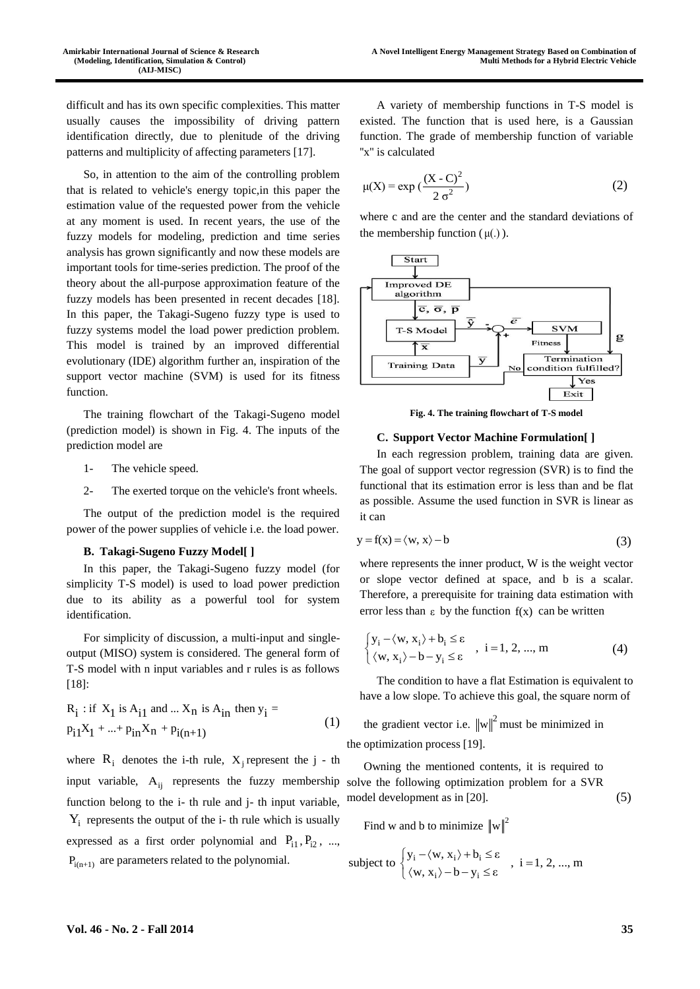difficult and has its own specific complexities. This matter usually causes the impossibility of driving pattern identification directly, due to plenitude of the driving patterns and multiplicity of affecting parameters [17].

So, in attention to the aim of the controlling problem that is related to vehicle's energy topic,in this paper the estimation value of the requested power from the vehicle at any moment is used. In recent years, the use of the fuzzy models for modeling, prediction and time series analysis has grown significantly and now these models are important tools for time-series prediction. The proof of the theory about the all-purpose approximation feature of the fuzzy models has been presented in recent decades [18]. In this paper, the Takagi-Sugeno fuzzy type is used to fuzzy systems model the load power prediction problem. This model is trained by an improved differential evolutionary (IDE) algorithm further an, inspiration of the support vector machine (SVM) is used for its fitness function.

The training flowchart of the Takagi-Sugeno model (prediction model) is shown in Fig. 4. The inputs of the prediction model are

- 1- The vehicle speed.
- 2- The exerted torque on the vehicle's front wheels.

The output of the prediction model is the required power of the power supplies of vehicle i.e. the load power.

#### **B. Takagi-Sugeno Fuzzy Model[ ]**

In this paper, the Takagi-Sugeno fuzzy model (for simplicity T-S model) is used to load power prediction due to its ability as a powerful tool for system identification.

For simplicity of discussion, a multi-input and singleoutput (MISO) system is considered. The general form of T-S model with n input variables and r rules is as follows [18]:

$$
R_i : \text{if } X_1 \text{ is } A_{i1} \text{ and } ... X_n \text{ is } A_{in} \text{ then } y_i =
$$
  

$$
p_{i1}X_1 + ... + p_{in}X_n + p_{i(n+1)}
$$
 (1)

where  $R_i$  denotes the i-th rule,  $X_j$  represent the j - th input variable,  $A_{ij}$  represents the fuzzy membership function belong to the i- th rule and j- th input variable,  $Y_i$  represents the output of the i- th rule which is usually expressed as a first order polynomial and  $P_{i1}$ ,  $P_{i2}$ , ...,  $P_{i(n+1)}$  are parameters related to the polynomial.

A variety of membership functions in T-S model is existed. The function that is used here, is a Gaussian function. The grade of membership function of variable "x" is calculated

$$
\mu(X) = \exp\left(\frac{(X - C)^2}{2\sigma^2}\right)
$$
 (2)

where c and are the center and the standard deviations of the membership function  $(\mu(.))$ .



**Fig. 4. The training flowchart of T-S model**

#### **C. Support Vector Machine Formulation[ ]**

In each regression problem, training data are given. The goal of support vector regression (SVR) is to find the functional that its estimation error is less than and be flat as possible. Assume the used function in SVR is linear as it can

$$
y = f(x) = \langle w, x \rangle - b \tag{3}
$$

where represents the inner product, W is the weight vector or slope vector defined at space, and b is a scalar. Therefore, a prerequisite for training data estimation with error less than  $\varepsilon$  by the function  $f(x)$  can be written

$$
\begin{cases} y_i - \langle w, x_i \rangle + b_i \le \epsilon \\ \langle w, x_i \rangle - b - y_i \le \epsilon \end{cases}, i = 1, 2, ..., m \tag{4}
$$

The condition to have a flat Estimation is equivalent to have a low slope. To achieve this goal, the square norm of

the gradient vector i.e.  $\|w\|^2$  must be minimized in the optimization process [19].

Owning the mentioned contents, it is required to solve the following optimization problem for a SVR model development as in [20]. (5)

Find w and b to minimize  $\|w\|^2$ 

subject to 
$$
\begin{cases} y_i - \langle w, x_i \rangle + b_i \le \varepsilon \\ \langle w, x_i \rangle - b - y_i \le \varepsilon \end{cases}
$$
,  $i = 1, 2, ..., m$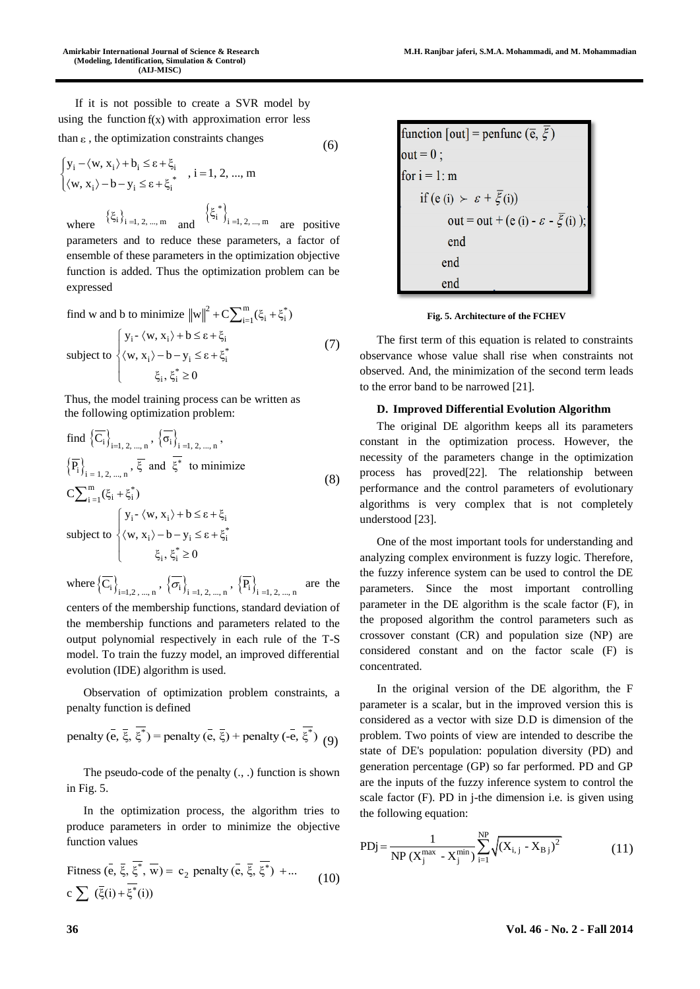If it is not possible to create a SVR model by using the function  $f(x)$  with approximation error less than ε , the optimization constraints changes

$$
\int y_i - \langle w, x_i \rangle + b_i \le \varepsilon + \xi_i \qquad i = 1, 2, \dots
$$
 (6)

$$
\begin{cases}\n y_i - \langle w, x_i \rangle + b_i \le \varepsilon + \xi_i \\
 \langle w, x_i \rangle - b - y_i \le \varepsilon + \xi_i^* \n\end{cases}, i = 1, 2, ..., m
$$
\n
$$
\{\xi^*\}
$$

where  $\{\xi_i\}_{i=1, 2, ..., m}$  and  $\left\{\xi_i^*\right\}_{i=1, 2, \dots, m}$  are positive parameters and to reduce these parameters, a factor of ensemble of these parameters in the optimization objective function is added. Thus the optimization problem can be expressed

find w and b to minimize 
$$
||w||^2 + C \sum_{i=1}^{m} (\xi_i + \xi_i^*)
$$
  
\nsubject to 
$$
\begin{cases}\n y_i - \langle w, x_i \rangle + b \le \epsilon + \xi_i \\
 \langle w, x_i \rangle - b - y_i \le \epsilon + \xi_i^* \\
 & \xi_i, \xi_i^* \ge 0\n\end{cases}
$$
\n(7)

Thus, the model training process can be written as the following optimization problem:

find 
$$
\{\overline{C_i}\}_{i=1, 2, ..., n}
$$
,  $\{\overline{\sigma_i}\}_{i=1, 2, ..., n}$ ,  
\n $\{\overline{P_i}\}_{i=1, 2, ..., n}$ ,  $\overline{\xi}$  and  $\overline{\xi^*}$  to minimize  
\n
$$
C\sum_{i=1}^{m}(\xi_i + \xi_i^*)
$$
\n
$$
\begin{cases}\ny_i - \langle w, x_i \rangle + b \le \varepsilon + \xi_i \\
\langle w, x_i \rangle - b - y_i \le \varepsilon + \xi_i^* \\
\xi_i, \xi_i^* \ge 0\n\end{cases}
$$
\n(8)

where  $\left\{\overline{C_i}\right\}_{i=1,2,...,n}$ ,  $\left\{\overline{\sigma_i}\right\}_{i=1, 2,...,n}$ ,  $\left\{\overline{P_i}\right\}_{i=1, 2,...,n}$ are the

centers of the membership functions, standard deviation of the membership functions and parameters related to the output polynomial respectively in each rule of the T-S model. To train the fuzzy model, an improved differential evolution (IDE) algorithm is used.

Observation of optimization problem constraints, a penalty function is defined

penalty (
$$
\overline{e}
$$
,  $\overline{\xi}$ ,  $\overline{\xi}^*$ ) = penalty ( $\overline{e}$ ,  $\overline{\xi}$ ) + penalty ( $\overline{-e}$ ,  $\overline{\xi}^*$ ) (9)

The pseudo-code of the penalty (., .) function is shown in Fig. 5.

In the optimization process, the algorithm tries to produce parameters in order to minimize the objective function values

$$
\begin{aligned} \text{Fitness } (\bar{\mathbf{e}}, \bar{\xi}, \bar{\xi}^*, \bar{\mathbf{w}}) &= c_2 \text{ penalty } (\bar{\mathbf{e}}, \bar{\xi}, \bar{\xi}^*) + \dots \\ \text{c} \sum (\bar{\xi}(i) + \bar{\xi}^*(i)) \end{aligned} \tag{10}
$$

function [out] = 
$$
\text{pentunc}(\overline{e}, \overline{\xi})
$$
  
out = 0;  
for i = 1: m  
if (e (i)  $\succ \varepsilon + \overline{\xi}$  (i))  
out = out + (e (i) -  $\varepsilon - \overline{\xi}$  (i));  
end  
end  
end  
end

**Fig. 5. Architecture of the FCHEV**

The first term of this equation is related to constraints observance whose value shall rise when constraints not observed. And, the minimization of the second term leads to the error band to be narrowed [21].

#### **D. Improved Differential Evolution Algorithm**

The original DE algorithm keeps all its parameters constant in the optimization process. However, the necessity of the parameters change in the optimization process has proved[22]. The relationship between performance and the control parameters of evolutionary algorithms is very complex that is not completely understood [23].

One of the most important tools for understanding and analyzing complex environment is fuzzy logic. Therefore, the fuzzy inference system can be used to control the DE parameters. Since the most important controlling parameter in the DE algorithm is the scale factor (F), in the proposed algorithm the control parameters such as crossover constant (CR) and population size (NP) are considered constant and on the factor scale (F) is concentrated.

In the original version of the DE algorithm, the F parameter is a scalar, but in the improved version this is considered as a vector with size D.D is dimension of the problem. Two points of view are intended to describe the state of DE's population: population diversity (PD) and generation percentage (GP) so far performed. PD and GP are the inputs of the fuzzy inference system to control the scale factor (F). PD in j-the dimension i.e. is given using the following equation:

PDj = 
$$
\frac{1}{NP(X_j^{\max} - X_j^{\min})} \sum_{i=1}^{NP} \sqrt{(X_{i,j} - X_{Bj})^2}
$$
 (11)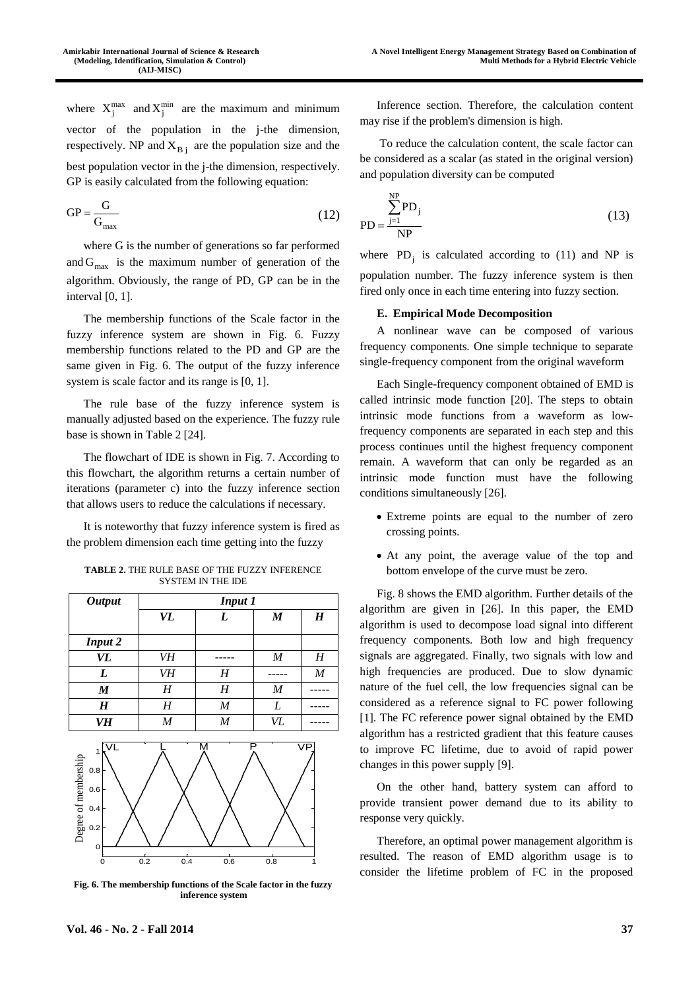where  $X_j^{\text{max}}$  and  $X_j^{\text{min}}$  are the maximum and minimum vector of the population in the j-the dimension, respectively. NP and  $X_{Bj}$  are the population size and the best population vector in the j-the dimension, respectively. GP is easily calculated from the following equation:

$$
GP = \frac{G}{G_{\text{max}}} \tag{12}
$$

where G is the number of generations so far performed and  $G_{\text{max}}$  is the maximum number of generation of the algorithm. Obviously, the range of PD, GP can be in the interval [0, 1].

The membership functions of the Scale factor in the fuzzy inference system are shown in Fig. 6. Fuzzy membership functions related to the PD and GP are the same given in Fig. 6. The output of the fuzzy inference system is scale factor and its range is [0, 1].

The rule base of the fuzzy inference system is manually adjusted based on the experience. The fuzzy rule base is shown in Table 2 [24].

The flowchart of IDE is shown in Fig. 7. According to this flowchart, the algorithm returns a certain number of iterations (parameter c) into the fuzzy inference section that allows users to reduce the calculations if necessary.

It is noteworthy that fuzzy inference system is fired as the problem dimension each time getting into the fuzzy

| <b>Output</b>                                                                                 | <b>Input 1</b> |                         |                  |                  |  |  |
|-----------------------------------------------------------------------------------------------|----------------|-------------------------|------------------|------------------|--|--|
|                                                                                               | VL             | L                       | $\boldsymbol{M}$ | $\boldsymbol{H}$ |  |  |
| <b>Input 2</b>                                                                                |                |                         |                  |                  |  |  |
| VL                                                                                            | VH             |                         | $\boldsymbol{M}$ | H                |  |  |
| L                                                                                             | VH             | H                       |                  | M                |  |  |
| $\boldsymbol{M}$                                                                              | H              | H                       | $\boldsymbol{M}$ |                  |  |  |
| $\boldsymbol{H}$                                                                              | H              | $\cal M$                | L                |                  |  |  |
| VH                                                                                            | $\cal M$       | $\boldsymbol{M}$        | VL               |                  |  |  |
| $\overline{\mathsf{V}}$ L<br>$\mathbf{1}$<br>Degree of membership<br>0.8<br>0.6<br>0.4<br>0.2 |                | $\overline{\mathsf{M}}$ | P                | <b>VP</b>        |  |  |

**TABLE 2.** THE RULE BASE OF THE FUZZY INFERENCE SYSTEM IN THE IDE

**Fig. 6. The membership functions of the Scale factor in the fuzzy inference system**

0 0.2 0.4 0.6 0.8 1

Inference section. Therefore, the calculation content may rise if the problem's dimension is high.

To reduce the calculation content, the scale factor can be considered as a scalar (as stated in the original version) and population diversity can be computed

$$
PD = \frac{\sum_{j=1}^{NP} PD_j}{NP}
$$
 (13)

where  $PD_j$  is calculated according to (11) and NP is population number. The fuzzy inference system is then fired only once in each time entering into fuzzy section.

## **E. Empirical Mode Decomposition**

A nonlinear wave can be composed of various frequency components. One simple technique to separate single-frequency component from the original waveform

Each Single-frequency component obtained of EMD is called intrinsic mode function [20]. The steps to obtain intrinsic mode functions from a waveform as lowfrequency components are separated in each step and this process continues until the highest frequency component remain. A waveform that can only be regarded as an intrinsic mode function must have the following conditions simultaneously [26].

- Extreme points are equal to the number of zero crossing points.
- At any point, the average value of the top and bottom envelope of the curve must be zero.

Fig. 8 shows the EMD algorithm. Further details of the algorithm are given in [26]. In this paper, the EMD algorithm is used to decompose load signal into different frequency components. Both low and high frequency signals are aggregated. Finally, two signals with low and high frequencies are produced. Due to slow dynamic nature of the fuel cell, the low frequencies signal can be considered as a reference signal to FC power following [1]. The FC reference power signal obtained by the EMD algorithm has a restricted gradient that this feature causes to improve FC lifetime, due to avoid of rapid power changes in this power supply [9].

On the other hand, battery system can afford to provide transient power demand due to its ability to response very quickly.

Therefore, an optimal power management algorithm is resulted. The reason of EMD algorithm usage is to consider the lifetime problem of FC in the proposed

٥F  $0.2$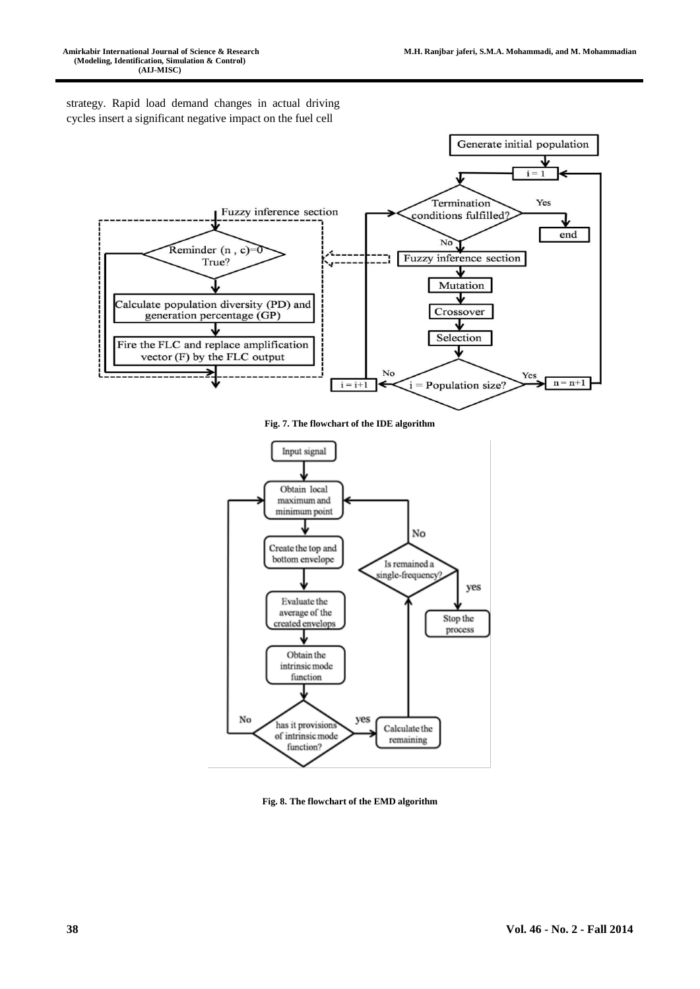strategy. Rapid load demand changes in actual driving cycles insert a significant negative impact on the fuel cell



**Fig. 7. The flowchart of the IDE algorithm**



**Fig. 8. The flowchart of the EMD algorithm**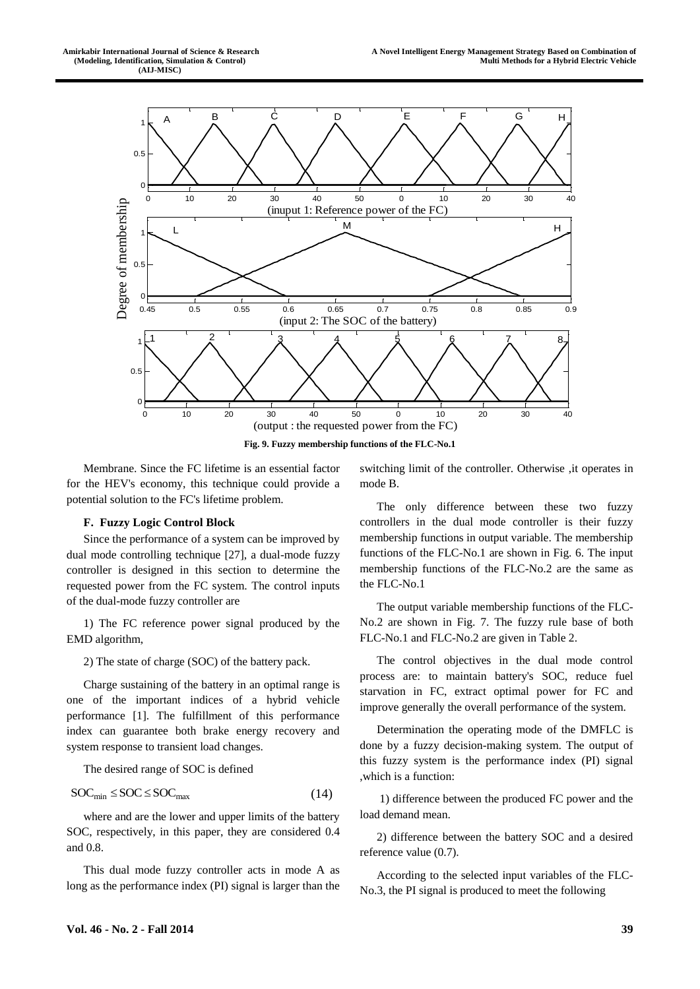

Membrane. Since the FC lifetime is an essential factor for the HEV's economy, this technique could provide a potential solution to the FC's lifetime problem.

# **F. Fuzzy Logic Control Block**

Since the performance of a system can be improved by dual mode controlling technique [27], a dual-mode fuzzy controller is designed in this section to determine the requested power from the FC system. The control inputs of the dual-mode fuzzy controller are

1) The FC reference power signal produced by the EMD algorithm,

2) The state of charge (SOC) of the battery pack.

Charge sustaining of the battery in an optimal range is one of the important indices of a hybrid vehicle performance [1]. The fulfillment of this performance index can guarantee both brake energy recovery and system response to transient load changes.

The desired range of SOC is defined

$$
SOC_{min} \leq SOC \leq SOC_{max} \tag{14}
$$

where and are the lower and upper limits of the battery SOC, respectively, in this paper, they are considered 0.4 and 0.8.

This dual mode fuzzy controller acts in mode A as long as the performance index (PI) signal is larger than the switching limit of the controller. Otherwise ,it operates in mode B.

The only difference between these two fuzzy controllers in the dual mode controller is their fuzzy membership functions in output variable. The membership functions of the FLC-No.1 are shown in Fig. 6. The input membership functions of the FLC-No.2 are the same as the FLC-No.1

The output variable membership functions of the FLC-No.2 are shown in Fig. 7. The fuzzy rule base of both FLC-No.1 and FLC-No.2 are given in Table 2.

The control objectives in the dual mode control process are: to maintain battery's SOC, reduce fuel starvation in FC, extract optimal power for FC and improve generally the overall performance of the system.

Determination the operating mode of the DMFLC is done by a fuzzy decision-making system. The output of this fuzzy system is the performance index (PI) signal ,which is a function:

1) difference between the produced FC power and the load demand mean.

2) difference between the battery SOC and a desired reference value (0.7).

According to the selected input variables of the FLC-No.3, the PI signal is produced to meet the following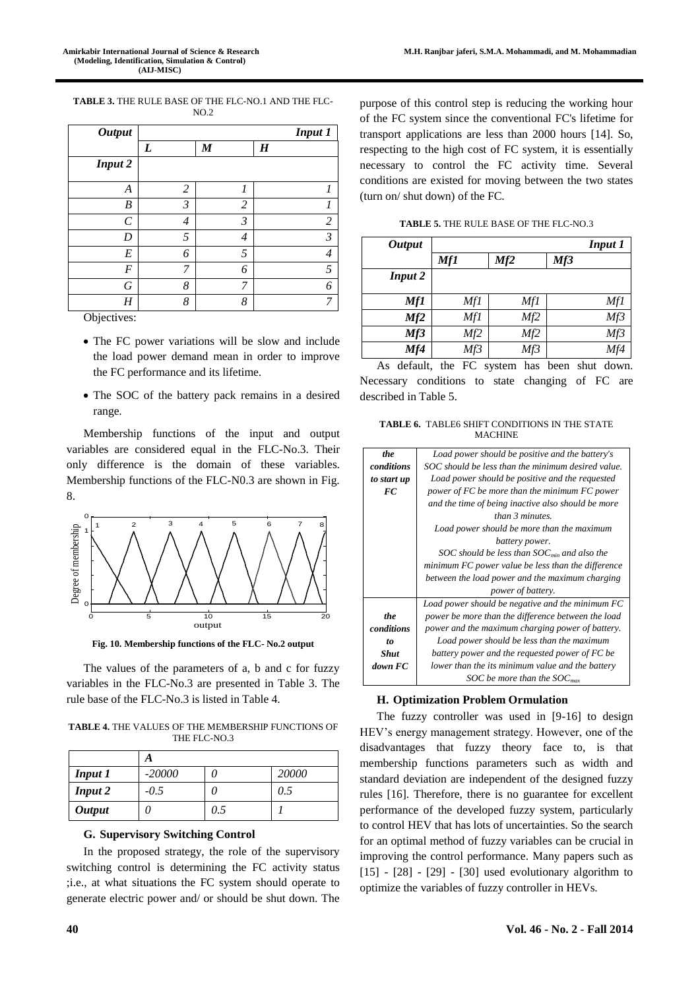**TABLE 3.** THE RULE BASE OF THE FLC-NO.1 AND THE FLC-NO.2

| <b>Output</b>    |   |                  | <b>Input 1</b>           |
|------------------|---|------------------|--------------------------|
|                  | L | $\boldsymbol{M}$ | $\boldsymbol{H}$         |
| <b>Input 2</b>   |   |                  |                          |
| $\boldsymbol{A}$ | 2 | 1                | 1                        |
| B                | 3 | 2                | 1                        |
| C                | 4 | 3                | $\overline{c}$           |
| D                | 5 | 4                | $\mathfrak{Z}$           |
| E                | 6 | 5                | $\overline{\mathcal{A}}$ |
| F                | 7 | 6                | 5                        |
| G                | 8 | 7                | 6                        |
| Η                | 8 | 8                | 7                        |

Objectives:

- The FC power variations will be slow and include the load power demand mean in order to improve the FC performance and its lifetime.
- The SOC of the battery pack remains in a desired range.

Membership functions of the input and output variables are considered equal in the FLC-No.3. Their only difference is the domain of these variables. Membership functions of the FLC-N0.3 are shown in Fig. 8.



**Fig. 10. Membership functions of the FLC- No.2 output**

The values of the parameters of a, b and c for fuzzy variables in the FLC-No.3 are presented in Table 3. The rule base of the FLC-No.3 is listed in Table 4.

**TABLE 4.** THE VALUES OF THE MEMBERSHIP FUNCTIONS OF THE FLC-NO.3

| <b>Input 1</b> | $-20000$ |     | 20000 |
|----------------|----------|-----|-------|
| <b>Input 2</b> | $-0.5$   |     | 0.5   |
| <b>Output</b>  |          | 0.5 |       |

#### **G. Supervisory Switching Control**

In the proposed strategy, the role of the supervisory switching control is determining the FC activity status ;i.e., at what situations the FC system should operate to generate electric power and/ or should be shut down. The purpose of this control step is reducing the working hour of the FC system since the conventional FC's lifetime for transport applications are less than 2000 hours [14]. So, respecting to the high cost of FC system, it is essentially necessary to control the FC activity time. Several conditions are existed for moving between the two states (turn on/ shut down) of the FC.

**TABLE 5.** THE RULE BASE OF THE FLC-NO.3

| <b>Output</b>  |            |     | <b>Input 1</b> |
|----------------|------------|-----|----------------|
|                | <b>Mf1</b> | Mf2 | Mf3            |
| <b>Input 2</b> |            |     |                |
| Mf1            | Mf1        | Mf1 | Mf1            |
| Mf2            | Mf1        | Mf2 | Mf3            |
| Mf3            | Mf2        | Mf2 | Mf3            |
| Mf4            | Mf3        | Mf3 | Mf4            |

As default, the FC system has been shut down. Necessary conditions to state changing of FC are described in Table 5.

**TABLE 6.** TABLE6 SHIFT CONDITIONS IN THE STATE **MACHINE** 

| the         | Load power should be positive and the battery's    |
|-------------|----------------------------------------------------|
| conditions  | SOC should be less than the minimum desired value. |
| to start up | Load power should be positive and the requested    |
| FC.         | power of FC be more than the minimum FC power      |
|             | and the time of being inactive also should be more |
|             | than 3 minutes                                     |
|             | Load power should be more than the maximum         |
|             | battery power.                                     |
|             | SOC should be less than $SOC_{min}$ and also the   |
|             | minimum FC power value be less than the difference |
|             | between the load power and the maximum charging    |
|             | <i>power of battery.</i>                           |
|             | Load power should be negative and the minimum FC   |
| the         | power be more than the difference between the load |
| conditions  | power and the maximum charging power of battery.   |
| to          | Load power should be less than the maximum         |
| <b>Shut</b> | battery power and the requested power of FC be     |
| down FC     | lower than the its minimum value and the battery   |
|             | SOC be more than the SOC <sub>max</sub>            |

#### **H. Optimization Problem Ormulation**

The fuzzy controller was used in [9-16] to design HEV's energy management strategy. However, one of the disadvantages that fuzzy theory face to, is that membership functions parameters such as width and standard deviation are independent of the designed fuzzy rules [16]. Therefore, there is no guarantee for excellent performance of the developed fuzzy system, particularly to control HEV that has lots of uncertainties. So the search for an optimal method of fuzzy variables can be crucial in improving the control performance. Many papers such as  $[15]$  -  $[28]$  -  $[29]$  -  $[30]$  used evolutionary algorithm to optimize the variables of fuzzy controller in HEVs.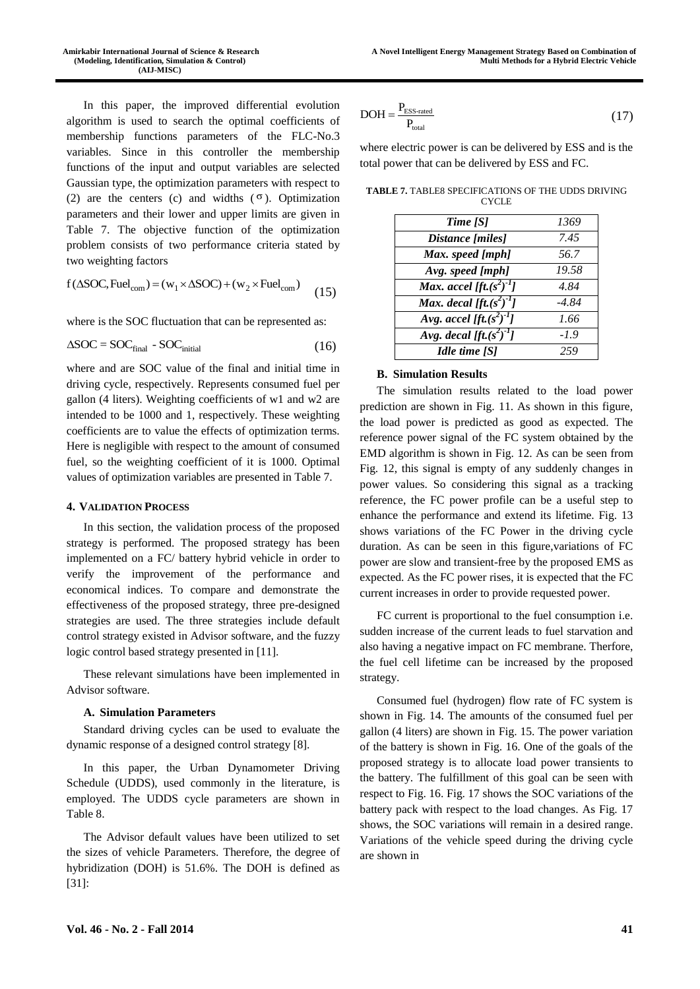In this paper, the improved differential evolution algorithm is used to search the optimal coefficients of membership functions parameters of the FLC-No.3 variables. Since in this controller the membership functions of the input and output variables are selected Gaussian type, the optimization parameters with respect to (2) are the centers (c) and widths  $(\sigma)$ . Optimization parameters and their lower and upper limits are given in Table 7. The objective function of the optimization problem consists of two performance criteria stated by two weighting factors

two weighting factors  
\n
$$
f(\Delta SOC, Fuel_{com}) = (w_1 \times \Delta SOC) + (w_2 \times Fuel_{com})
$$
 (15)

where is the SOC fluctuation that can be represented as:

$$
\Delta SOC = SOC_{\text{final}} - SOC_{\text{initial}} \tag{16}
$$

where and are SOC value of the final and initial time in driving cycle, respectively. Represents consumed fuel per gallon (4 liters). Weighting coefficients of w1 and w2 are intended to be 1000 and 1, respectively. These weighting coefficients are to value the effects of optimization terms. Here is negligible with respect to the amount of consumed fuel, so the weighting coefficient of it is 1000. Optimal values of optimization variables are presented in Table 7.

#### **4. VALIDATION PROCESS**

In this section, the validation process of the proposed strategy is performed. The proposed strategy has been implemented on a FC/ battery hybrid vehicle in order to verify the improvement of the performance and economical indices. To compare and demonstrate the effectiveness of the proposed strategy, three pre-designed strategies are used. The three strategies include default control strategy existed in Advisor software, and the fuzzy logic control based strategy presented in [11].

These relevant simulations have been implemented in Advisor software.

#### **A. Simulation Parameters**

Standard driving cycles can be used to evaluate the dynamic response of a designed control strategy [8].

In this paper, the Urban Dynamometer Driving Schedule (UDDS), used commonly in the literature, is employed. The UDDS cycle parameters are shown in Table 8.

The Advisor default values have been utilized to set the sizes of vehicle Parameters. Therefore, the degree of hybridization (DOH) is 51.6%. The DOH is defined as [31]:

$$
DOH = \frac{P_{\text{ESS-rated}}}{P_{\text{total}}}
$$
\n(17)

where electric power is can be delivered by ESS and is the total power that can be delivered by ESS and FC.

| Time [S]                       | 1369   |
|--------------------------------|--------|
| Distance [miles]               | 7.45   |
| Max. speed [mph]               | 56.7   |
| Avg. speed [mph]               | 19.58  |
| Max. accel [ft. $(s^2)^{-1}$ ] | 4.84   |
| Max. decal [ft. $(s^2)^{-1}$ ] | -4.84  |
| Avg. accel [ft. $(s^2)^{-1}$ ] | 1.66   |
| Avg. decal [ft. $(s^2)^{-1}$ ] | $-1.9$ |
| Idle time $[<]$                |        |

**TABLE 7.** TABLE8 SPECIFICATIONS OF THE UDDS DRIVING **CYCLE** 

#### **B. Simulation Results**

The simulation results related to the load power prediction are shown in Fig. 11. As shown in this figure, the load power is predicted as good as expected. The reference power signal of the FC system obtained by the EMD algorithm is shown in Fig. 12. As can be seen from Fig. 12, this signal is empty of any suddenly changes in power values. So considering this signal as a tracking reference, the FC power profile can be a useful step to enhance the performance and extend its lifetime. Fig. 13 shows variations of the FC Power in the driving cycle duration. As can be seen in this figure,variations of FC power are slow and transient-free by the proposed EMS as expected. As the FC power rises, it is expected that the FC current increases in order to provide requested power.

FC current is proportional to the fuel consumption i.e. sudden increase of the current leads to fuel starvation and also having a negative impact on FC membrane. Therfore, the fuel cell lifetime can be increased by the proposed strategy.

Consumed fuel (hydrogen) flow rate of FC system is shown in Fig. 14. The amounts of the consumed fuel per gallon (4 liters) are shown in Fig. 15. The power variation of the battery is shown in Fig. 16. One of the goals of the proposed strategy is to allocate load power transients to the battery. The fulfillment of this goal can be seen with respect to Fig. 16. Fig. 17 shows the SOC variations of the battery pack with respect to the load changes. As Fig. 17 shows, the SOC variations will remain in a desired range. Variations of the vehicle speed during the driving cycle are shown in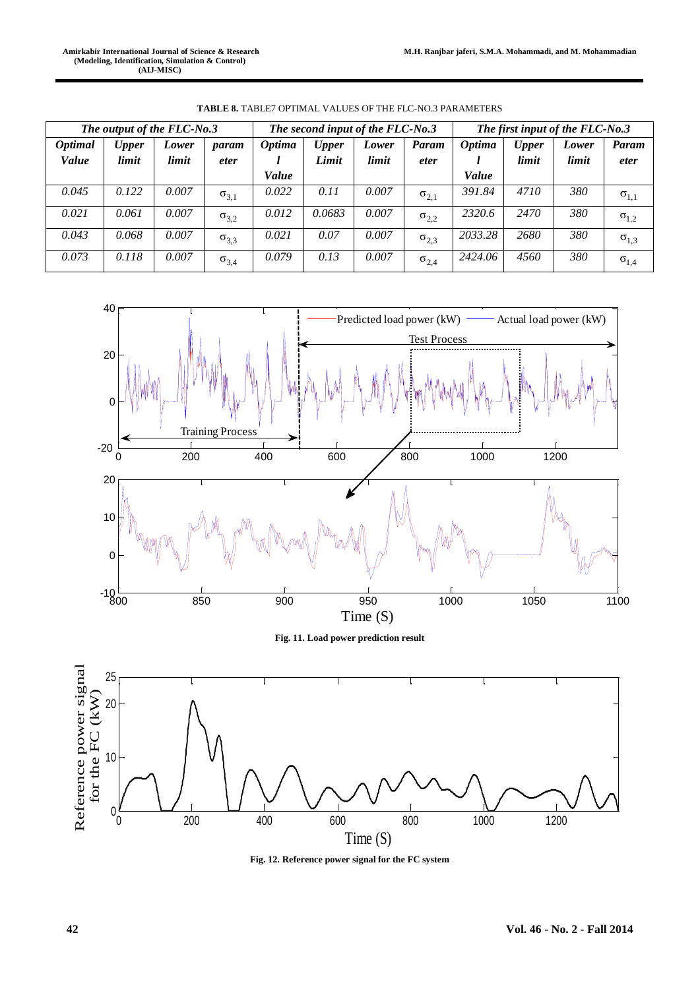|                                | The output of the FLC-No.3 |                | The second input of the FLC-No.3<br>The first input of the FLC-No.3 |               |                       |                |                      |               |                       |                |                      |
|--------------------------------|----------------------------|----------------|---------------------------------------------------------------------|---------------|-----------------------|----------------|----------------------|---------------|-----------------------|----------------|----------------------|
| <i><b>Optimal</b></i><br>Value | <b>Upper</b><br>limit      | Lower<br>limit | param<br><i>eter</i>                                                | <b>Optima</b> | <b>Upper</b><br>Limit | Lower<br>limit | Param<br><i>eter</i> | <b>Optima</b> | <b>Upper</b><br>limit | Lower<br>limit | Param<br><i>eter</i> |
|                                |                            |                |                                                                     | Value         |                       |                |                      | Value         |                       |                |                      |
| 0.045                          | 0.122                      | 0.007          | $\sigma_{3,1}$                                                      | 0.022         | 0.11                  | 0.007          | $\sigma_{2,1}$       | 391.84        | 4710                  | 380            | $\sigma_{1,1}$       |
| 0.021                          | 0.061                      | 0.007          | $\sigma_{3,2}$                                                      | 0.012         | 0.0683                | 0.007          | $\sigma_{2,2}$       | 2320.6        | 2470                  | 380            | $\sigma_{1,2}$       |
| 0.043                          | 0.068                      | 0.007          | $\sigma_{3,3}$                                                      | 0.021         | 0.07                  | 0.007          | $\sigma_{2,3}$       | 2033.28       | 2680                  | 380            | $\sigma_{1,3}$       |
| 0.073                          | 0.118                      | 0.007          | $\sigma_{3,4}$                                                      | 0.079         | 0.13                  | 0.007          | $\sigma_{2,4}$       | 2424.06       | 4560                  | 380            | $\sigma_{1,4}$       |

**TABLE 8.** TABLE7 OPTIMAL VALUES OF THE FLC-NO.3 PARAMETERS



**Fig. 11. Load power prediction result**



**Fig. 12. Reference power signal for the FC system**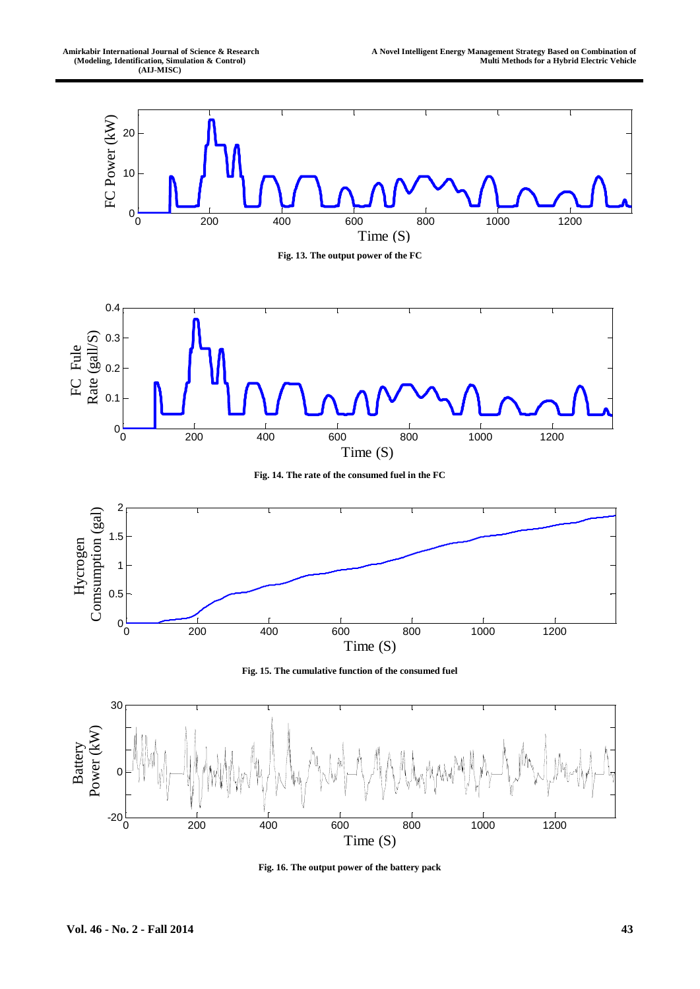

**Fig. 16. The output power of the battery pack**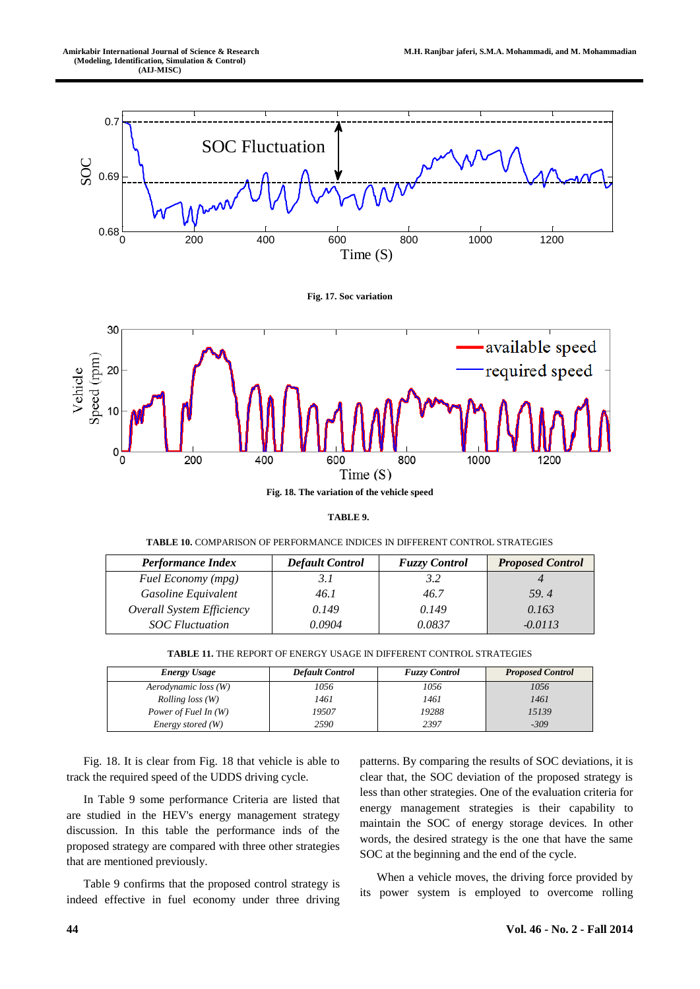

**Fig. 17. Soc variation**



**TABLE 9.**

| <b>TABLE 10.</b> COMPARISON OF PERFORMANCE INDICES IN DIFFERENT CONTROL STRATEGIES |  |
|------------------------------------------------------------------------------------|--|

| <b>Performance Index</b>  | <b>Default Control</b> | <b>Fuzzy Control</b> | <b>Proposed Control</b> |
|---------------------------|------------------------|----------------------|-------------------------|
| Fuel Economy (mpg)        |                        | 3.2                  |                         |
| Gasoline Equivalent       | 46.1                   | 46.7                 | 59.4                    |
| Overall System Efficiency | 0.149                  | 0.149                | 0.163                   |
| <b>SOC</b> Fluctuation    | 0.0904                 | 0.0837               | $-0.0113$               |

| <b>Energy Usage</b>     | <b>Default Control</b> | <b>Fuzzy Control</b> | <b>Proposed Control</b> |
|-------------------------|------------------------|----------------------|-------------------------|
| Aerodynamic loss (W)    | 1056                   | 1056                 | 1056                    |
| <i>Rolling loss</i> (W) | 1461                   | 1461                 | 1461                    |
| Power of Fuel In (W)    | 19507                  | 19288                | 15139                   |
| Energy stored (W)       | 2590                   | 2397                 | $-309$                  |

Fig. 18. It is clear from Fig. 18 that vehicle is able to track the required speed of the UDDS driving cycle.

In Table 9 some performance Criteria are listed that are studied in the HEV's energy management strategy discussion. In this table the performance inds of the proposed strategy are compared with three other strategies that are mentioned previously.

Table 9 confirms that the proposed control strategy is indeed effective in fuel economy under three driving patterns. By comparing the results of SOC deviations, it is clear that, the SOC deviation of the proposed strategy is less than other strategies. One of the evaluation criteria for energy management strategies is their capability to maintain the SOC of energy storage devices. In other words, the desired strategy is the one that have the same SOC at the beginning and the end of the cycle.

When a vehicle moves, the driving force provided by its power system is employed to overcome rolling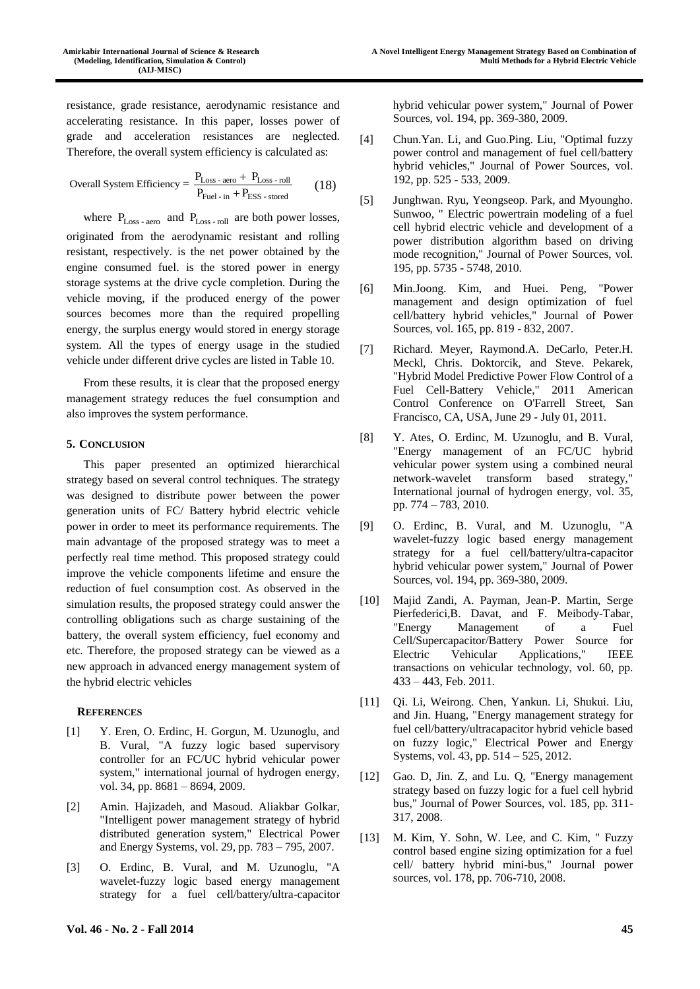resistance, grade resistance, aerodynamic resistance and accelerating resistance. In this paper, losses power of grade and acceleration resistances are neglected. Therefore, the overall system efficiency is calculated as:

Overall System Efficiency = 
$$
\frac{P_{Loss - aero} + P_{Loss - roll}}{P_{fuel - in} + P_{ESS - stored}}
$$
 (18)

where  $P_{Loss - aero}$  and  $P_{Loss - roll}$  are both power losses, originated from the aerodynamic resistant and rolling resistant, respectively. is the net power obtained by the engine consumed fuel. is the stored power in energy storage systems at the drive cycle completion. During the vehicle moving, if the produced energy of the power sources becomes more than the required propelling energy, the surplus energy would stored in energy storage system. All the types of energy usage in the studied vehicle under different drive cycles are listed in Table 10.

From these results, it is clear that the proposed energy management strategy reduces the fuel consumption and also improves the system performance.

# **5. CONCLUSION**

This paper presented an optimized hierarchical strategy based on several control techniques. The strategy was designed to distribute power between the power generation units of FC/ Battery hybrid electric vehicle power in order to meet its performance requirements. The main advantage of the proposed strategy was to meet a perfectly real time method. This proposed strategy could improve the vehicle components lifetime and ensure the reduction of fuel consumption cost. As observed in the simulation results, the proposed strategy could answer the controlling obligations such as charge sustaining of the battery, the overall system efficiency, fuel economy and etc. Therefore, the proposed strategy can be viewed as a new approach in advanced energy management system of the hybrid electric vehicles

#### **REFERENCES**

- [1] Y. Eren, O. Erdinc, H. Gorgun, M. Uzunoglu, and B. Vural, "A fuzzy logic based supervisory controller for an FC/UC hybrid vehicular power system," international journal of hydrogen energy, vol. 34, pp. 8681 – 8694, 2009.
- [2] Amin. Hajizadeh, and Masoud. Aliakbar Golkar, "Intelligent power management strategy of hybrid distributed generation system," Electrical Power and Energy Systems, vol. 29, pp. 783 – 795, 2007.
- [3] O. Erdinc, B. Vural, and M. Uzunoglu, "A wavelet-fuzzy logic based energy management strategy for a fuel cell/battery/ultra-capacitor

hybrid vehicular power system," Journal of Power Sources, vol. 194, pp. 369-380, 2009.

- [4] Chun.Yan. Li, and Guo.Ping. Liu, "Optimal fuzzy power control and management of fuel cell/battery hybrid vehicles," Journal of Power Sources, vol. 192, pp. 525 - 533, 2009.
- [5] Junghwan. Ryu, Yeongseop. Park, and Myoungho. Sunwoo, " Electric powertrain modeling of a fuel cell hybrid electric vehicle and development of a power distribution algorithm based on driving mode recognition," Journal of Power Sources, vol. 195, pp. 5735 - 5748, 2010.
- [6] Min.Joong. Kim, and Huei. Peng, "Power management and design optimization of fuel cell/battery hybrid vehicles," Journal of Power Sources, vol. 165, pp. 819 - 832, 2007.
- [7] Richard. Meyer, Raymond.A. DeCarlo, Peter.H. Meckl, Chris. Doktorcik, and Steve. Pekarek, "Hybrid Model Predictive Power Flow Control of a Fuel Cell-Battery Vehicle," 2011 American Control Conference on O'Farrell Street, San Francisco, CA, USA, June 29 - July 01, 2011.
- [8] Y. Ates, O. Erdinc, M. Uzunoglu, and B. Vural, "Energy management of an FC/UC hybrid vehicular power system using a combined neural network-wavelet transform based strategy," International journal of hydrogen energy, vol. 35, pp. 774 – 783, 2010.
- [9] O. Erdinc, B. Vural, and M. Uzunoglu, "A wavelet-fuzzy logic based energy management strategy for a fuel cell/battery/ultra-capacitor hybrid vehicular power system," Journal of Power Sources, vol. 194, pp. 369-380, 2009.
- [10] Majid Zandi, A. Payman, Jean-P. Martin, Serge Pierfederici,B. Davat, and F. Meibody-Tabar, "Energy Management of a Fuel Cell/Supercapacitor/Battery Power Source for Electric Vehicular Applications," IEEE transactions on vehicular technology, vol. 60, pp. 433 – 443, Feb. 2011.
- [11] Qi. Li, Weirong. Chen, Yankun. Li, Shukui. Liu, and Jin. Huang, "Energy management strategy for fuel cell/battery/ultracapacitor hybrid vehicle based on fuzzy logic," Electrical Power and Energy Systems, vol. 43, pp. 514 – 525, 2012.
- [12] Gao. D, Jin. Z, and Lu. Q, "Energy management strategy based on fuzzy logic for a fuel cell hybrid bus," Journal of Power Sources, vol. 185, pp. 311- 317, 2008.
- [13] M. Kim, Y. Sohn, W. Lee, and C. Kim, " Fuzzy control based engine sizing optimization for a fuel cell/ battery hybrid mini-bus," Journal power sources, vol. 178, pp. 706-710, 2008.